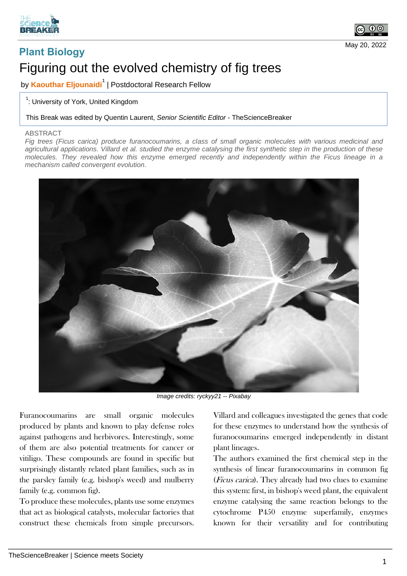



May 20, 2022

## **Plant Biology** Figuring out the evolved chemistry of fig trees

by **Kaouthar Eljounaidi<sup>1</sup>** | Postdoctoral Research Fellow

## <sup>1</sup>: University of York, United Kingdom

This Break was edited by Quentin Laurent, *Senior Scientific Editor* - TheScienceBreaker

## ABSTRACT

*Fig trees (Ficus carica) produce furanocoumarins, a class of small organic molecules with various medicinal and agricultural applications. Villard et al. studied the enzyme catalysing the first synthetic step in the production of these molecules. They revealed how this enzyme emerged recently and independently within the Ficus lineage in a mechanism called convergent evolution.*



*Image credits: ryckyy21 -- Pixabay*

Furanocoumarins are small organic molecules produced by plants and known to play defense roles against pathogens and herbivores. Interestingly, some of them are also potential treatments for cancer or vitiligo. These compounds are found in specific but surprisingly distantly related plant families, such as in the parsley family (e.g. bishop's weed) and mulberry family (e.g. common fig).

To produce these molecules, plants use some enzymes that act as biological catalysts, molecular factories that construct these chemicals from simple precursors.

Villard and colleagues investigated the genes that code for these enzymes to understand how the synthesis of furanocoumarins emerged independently in distant plant lineages.

The authors examined the first chemical step in the synthesis of linear furanocoumarins in common fig (Ficus carica). They already had two clues to examine this system: first, in bishop's weed plant, the equivalent enzyme catalysing the same reaction belongs to the cytochrome P450 enzyme superfamily, enzymes known for their versatility and for contributing